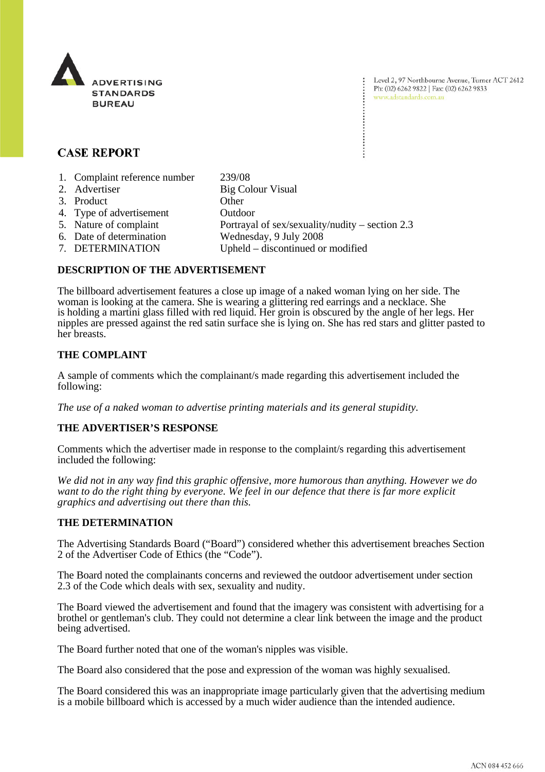

Level 2, 97 Northbourne Avenue, Turner ACT 2612 Ph: (02) 6262 9822 | Fax: (02) 6262 9833 www.adstandards.com.au

# **CASE REPORT**

| 1. Complaint reference number | 239/08                                            |
|-------------------------------|---------------------------------------------------|
| 2. Advertiser                 | <b>Big Colour Visual</b>                          |
| 3. Product                    | Other                                             |
| 4. Type of advertisement      | Outdoor                                           |
| 5. Nature of complaint        | Portrayal of sex/sexuality/nudity – section $2.3$ |
| 6. Date of determination      | Wednesday, 9 July 2008                            |
| 7. DETERMINATION              | Upheld – discontinued or modified                 |
|                               |                                                   |

### **DESCRIPTION OF THE ADVERTISEMENT**

The billboard advertisement features a close up image of a naked woman lying on her side. The woman is looking at the camera. She is wearing a glittering red earrings and a necklace. She is holding a martini glass filled with red liquid. Her groin is obscured by the angle of her legs. Her nipples are pressed against the red satin surface she is lying on. She has red stars and glitter pasted to her breasts.

#### **THE COMPLAINT**

A sample of comments which the complainant/s made regarding this advertisement included the following:

*The use of a naked woman to advertise printing materials and its general stupidity.*

#### **THE ADVERTISER'S RESPONSE**

Comments which the advertiser made in response to the complaint/s regarding this advertisement included the following:

*We did not in any way find this graphic offensive, more humorous than anything. However we do want to do the right thing by everyone. We feel in our defence that there is far more explicit graphics and advertising out there than this.*

#### **THE DETERMINATION**

The Advertising Standards Board ("Board") considered whether this advertisement breaches Section 2 of the Advertiser Code of Ethics (the "Code").

The Board noted the complainants concerns and reviewed the outdoor advertisement under section 2.3 of the Code which deals with sex, sexuality and nudity.

The Board viewed the advertisement and found that the imagery was consistent with advertising for a brothel or gentleman's club. They could not determine a clear link between the image and the product being advertised.

The Board further noted that one of the woman's nipples was visible.

The Board also considered that the pose and expression of the woman was highly sexualised.

The Board considered this was an inappropriate image particularly given that the advertising medium is a mobile billboard which is accessed by a much wider audience than the intended audience.